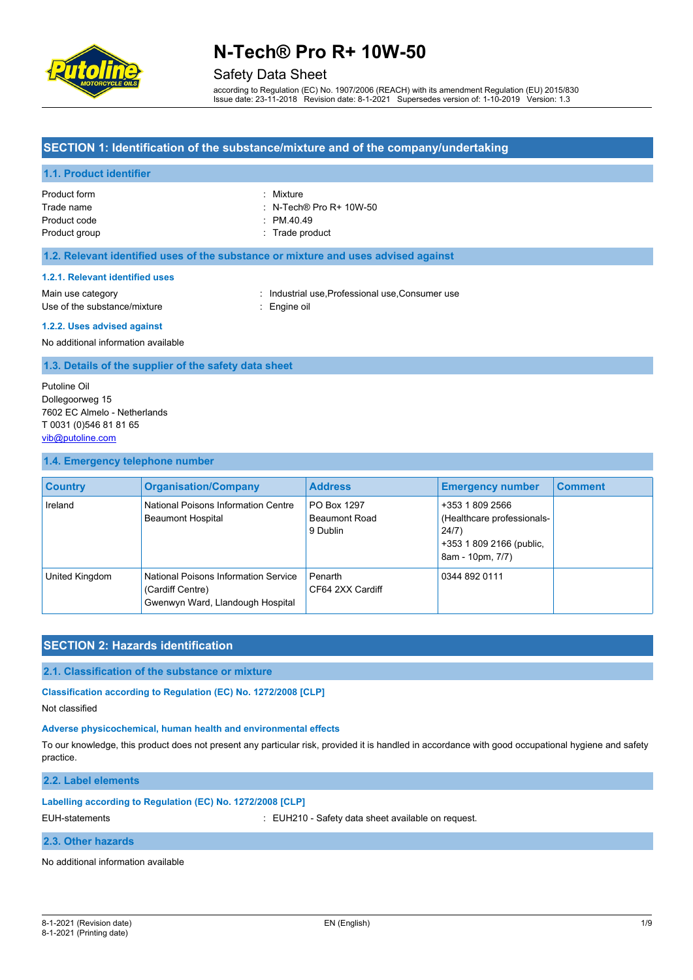

### Safety Data Sheet

according to Regulation (EC) No. 1907/2006 (REACH) with its amendment Regulation (EU) 2015/830 Issue date: 23-11-2018 Revision date: 8-1-2021 Supersedes version of: 1-10-2019 Version: 1.3

#### **SECTION 1: Identification of the substance/mixture and of the company/undertaking**

#### **1.1. Product identifier**

| Product form  | : Mixture                          |
|---------------|------------------------------------|
| Trade name    | $\therefore$ N-Tech® Pro R+ 10W-50 |
| Product code  | $\therefore$ PM 40.49              |
| Product group | : Trade product                    |

#### **1.2. Relevant identified uses of the substance or mixture and uses advised against**

#### **1.2.1. Relevant identified uses**

Use of the substance/mixture : Engine oil

Main use category **industrial use, Professional use, Consumer use** in the use of the use of the use of the use of the use of the use of the use of the use of the use of the use of the use of the use of the use of the use o

#### **1.2.2. Uses advised against**

No additional information available

#### **1.3. Details of the supplier of the safety data sheet**

Putoline Oil Dollegoorweg 15 7602 EC Almelo - Netherlands T 0031 (0)546 81 81 65 [vib@putoline.com](mailto:vib@putoline.com)

#### **1.4. Emergency telephone number**

| <b>Country</b> | <b>Organisation/Company</b>                                                                  | <b>Address</b>                                  | <b>Emergency number</b>                                                                                | <b>Comment</b> |
|----------------|----------------------------------------------------------------------------------------------|-------------------------------------------------|--------------------------------------------------------------------------------------------------------|----------------|
| Ireland        | National Poisons Information Centre<br><b>Beaumont Hospital</b>                              | PO Box 1297<br><b>Beaumont Road</b><br>9 Dublin | +353 1 809 2566<br>(Healthcare professionals-<br>24/7)<br>+353 1 809 2166 (public,<br>8am - 10pm, 7/7) |                |
| United Kingdom | National Poisons Information Service<br>(Cardiff Centre)<br>Gwenwyn Ward, Llandough Hospital | Penarth<br>CF64 2XX Cardiff                     | 0344 892 0111                                                                                          |                |

#### **SECTION 2: Hazards identification**

**2.1. Classification of the substance or mixture**

**Classification according to Regulation (EC) No. 1272/2008 [CLP]**

Not classified

#### **Adverse physicochemical, human health and environmental effects**

To our knowledge, this product does not present any particular risk, provided it is handled in accordance with good occupational hygiene and safety practice.

**2.2. Label elements**

#### **Labelling according to Regulation (EC) No. 1272/2008 [CLP]**

EUH-statements : EUH210 - Safety data sheet available on request.

#### **2.3. Other hazards**

No additional information available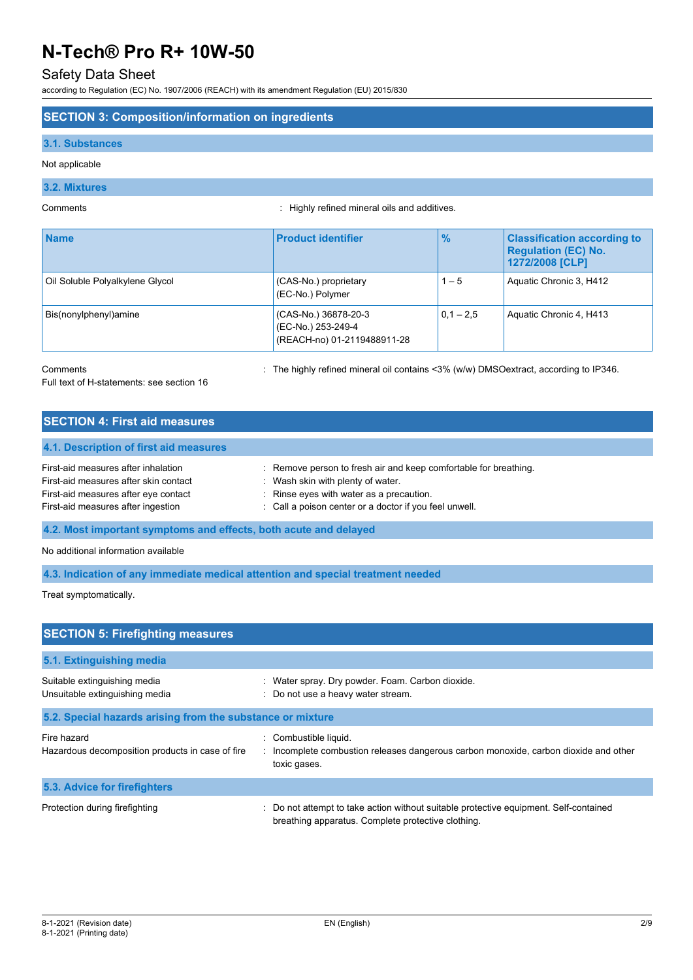### Safety Data Sheet

according to Regulation (EC) No. 1907/2006 (REACH) with its amendment Regulation (EU) 2015/830

#### **SECTION 3: Composition/information on ingredients**

#### **3.1. Substances**

Not applicable

### **3.2. Mixtures**

Comments : Highly refined mineral oils and additives.

| <b>Name</b>                     | <b>Product identifier</b>                                                 | $\frac{9}{6}$ | <b>Classification according to</b><br><b>Requiation (EC) No.</b><br>1272/2008 [CLP] |
|---------------------------------|---------------------------------------------------------------------------|---------------|-------------------------------------------------------------------------------------|
| Oil Soluble Polyalkylene Glycol | (CAS-No.) proprietary<br>(EC-No.) Polymer                                 | $1 - 5$       | Aquatic Chronic 3, H412                                                             |
| Bis(nonylphenyl)amine           | (CAS-No.) 36878-20-3<br>(EC-No.) 253-249-4<br>(REACH-no) 01-2119488911-28 | $0.1 - 2.5$   | Aquatic Chronic 4, H413                                                             |

Comments **Source 20 Comments** : The highly refined mineral oil contains <3% (w/w) DMSOextract, according to IP346.

Full text of H-statements: see section 16

| <b>SECTION 4: First aid measures</b>   |                                                                  |
|----------------------------------------|------------------------------------------------------------------|
| 4.1. Description of first aid measures |                                                                  |
| First-aid measures after inhalation    | : Remove person to fresh air and keep comfortable for breathing. |
| First-aid measures after skin contact  | Wash skin with plenty of water.                                  |
| First-aid measures after eye contact   | : Rinse eyes with water as a precaution.                         |
| First-aid measures after ingestion     | : Call a poison center or a doctor if you feel unwell.           |

**4.2. Most important symptoms and effects, both acute and delayed**

No additional information available

**4.3. Indication of any immediate medical attention and special treatment needed**

Treat symptomatically.

| <b>SECTION 5: Firefighting measures</b>                         |                                                                                                                                           |  |  |  |
|-----------------------------------------------------------------|-------------------------------------------------------------------------------------------------------------------------------------------|--|--|--|
| 5.1. Extinguishing media                                        |                                                                                                                                           |  |  |  |
| Suitable extinguishing media<br>Unsuitable extinguishing media  | : Water spray. Dry powder. Foam. Carbon dioxide.<br>: Do not use a heavy water stream.                                                    |  |  |  |
| 5.2. Special hazards arising from the substance or mixture      |                                                                                                                                           |  |  |  |
| Fire hazard<br>Hazardous decomposition products in case of fire | : Combustible liquid.<br>: Incomplete combustion releases dangerous carbon monoxide, carbon dioxide and other<br>toxic gases.             |  |  |  |
| 5.3. Advice for firefighters                                    |                                                                                                                                           |  |  |  |
| Protection during firefighting                                  | Do not attempt to take action without suitable protective equipment. Self-contained<br>breathing apparatus. Complete protective clothing. |  |  |  |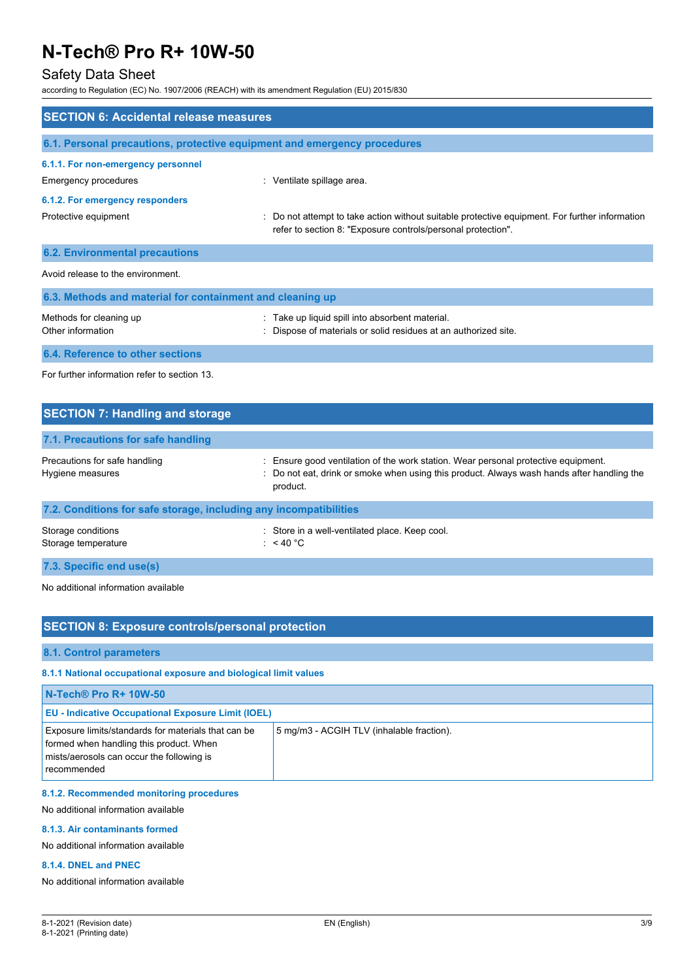### Safety Data Sheet

according to Regulation (EC) No. 1907/2006 (REACH) with its amendment Regulation (EU) 2015/830

| <b>SECTION 6: Accidental release measures</b>                            |                                                                                                                                                              |  |  |  |
|--------------------------------------------------------------------------|--------------------------------------------------------------------------------------------------------------------------------------------------------------|--|--|--|
| 6.1. Personal precautions, protective equipment and emergency procedures |                                                                                                                                                              |  |  |  |
| 6.1.1. For non-emergency personnel<br>Emergency procedures               | : Ventilate spillage area.                                                                                                                                   |  |  |  |
| 6.1.2. For emergency responders<br>Protective equipment                  | Do not attempt to take action without suitable protective equipment. For further information<br>refer to section 8: "Exposure controls/personal protection". |  |  |  |
| <b>6.2. Environmental precautions</b>                                    |                                                                                                                                                              |  |  |  |
| Avoid release to the environment                                         |                                                                                                                                                              |  |  |  |
| 6.3. Methods and material for containment and cleaning up                |                                                                                                                                                              |  |  |  |
| Methods for cleaning up<br>Other information                             | : Take up liquid spill into absorbent material.<br>Dispose of materials or solid residues at an authorized site.                                             |  |  |  |
| 6.4. Reference to other sections                                         |                                                                                                                                                              |  |  |  |
| For further information refer to section 13.                             |                                                                                                                                                              |  |  |  |

| <b>SECTION 7: Handling and storage</b>                            |                                                                                                                                                                                              |  |  |  |
|-------------------------------------------------------------------|----------------------------------------------------------------------------------------------------------------------------------------------------------------------------------------------|--|--|--|
| 7.1. Precautions for safe handling                                |                                                                                                                                                                                              |  |  |  |
| Precautions for safe handling<br>Hygiene measures                 | : Ensure good ventilation of the work station. Wear personal protective equipment.<br>: Do not eat, drink or smoke when using this product. Always wash hands after handling the<br>product. |  |  |  |
| 7.2. Conditions for safe storage, including any incompatibilities |                                                                                                                                                                                              |  |  |  |
| Storage conditions<br>Storage temperature                         | : Store in a well-ventilated place. Keep cool.<br>: $<$ 40 °C                                                                                                                                |  |  |  |
| 7.3. Specific end use(s)                                          |                                                                                                                                                                                              |  |  |  |

No additional information available

### **SECTION 8: Exposure controls/personal protection**

**8.1. Control parameters**

#### **8.1.1 National occupational exposure and biological limit values**

| N-Tech® Pro R+ 10W-50                                                                                                                                      |                                           |  |
|------------------------------------------------------------------------------------------------------------------------------------------------------------|-------------------------------------------|--|
| <b>EU - Indicative Occupational Exposure Limit (IOEL)</b>                                                                                                  |                                           |  |
| Exposure limits/standards for materials that can be<br>formed when handling this product. When<br>mists/aerosols can occur the following is<br>recommended | 5 mg/m3 - ACGIH TLV (inhalable fraction). |  |

#### **8.1.2. Recommended monitoring procedures**

No additional information available

#### **8.1.3. Air contaminants formed**

No additional information available

#### **8.1.4. DNEL and PNEC**

No additional information available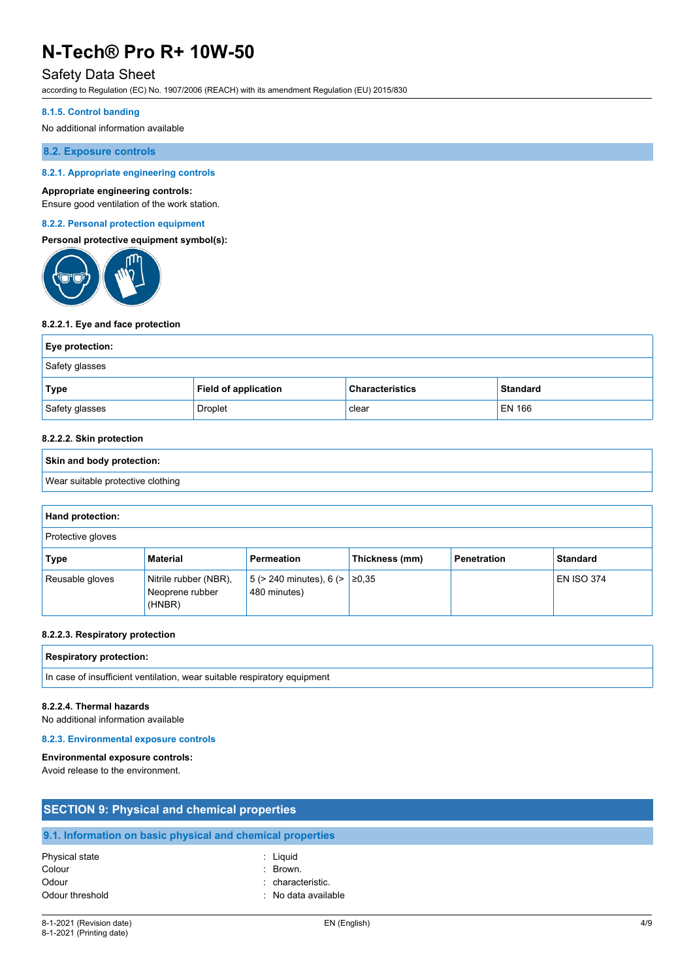### Safety Data Sheet

according to Regulation (EC) No. 1907/2006 (REACH) with its amendment Regulation (EU) 2015/830

#### **8.1.5. Control banding**

No additional information available

#### **8.2. Exposure controls**

#### **8.2.1. Appropriate engineering controls**

#### **Appropriate engineering controls:**

Ensure good ventilation of the work station.

#### **8.2.2. Personal protection equipment**

#### **Personal protective equipment symbol(s):**



#### **8.2.2.1. Eye and face protection**

| Eye protection: |                             |                        |                 |
|-----------------|-----------------------------|------------------------|-----------------|
| Safety glasses  |                             |                        |                 |
| Type            | <b>Field of application</b> | <b>Characteristics</b> | <b>Standard</b> |
| Safety glasses  | Droplet                     | clear                  | <b>EN 166</b>   |

#### **8.2.2.2. Skin protection**

# **Skin and body protection:** Wear suitable protective clothing

| Hand protection:  |                                                    |                                                        |                |                    |                   |
|-------------------|----------------------------------------------------|--------------------------------------------------------|----------------|--------------------|-------------------|
| Protective gloves |                                                    |                                                        |                |                    |                   |
| <b>Type</b>       | <b>Material</b>                                    | Permeation                                             | Thickness (mm) | <b>Penetration</b> | <b>Standard</b>   |
| Reusable gloves   | Nitrile rubber (NBR),<br>Neoprene rubber<br>(HNBR) | $5$ (> 240 minutes), 6 (> $\geq$ ≥0,35<br>480 minutes) |                |                    | <b>EN ISO 374</b> |

#### **8.2.2.3. Respiratory protection**

| Doc<br>≎tion.<br>. Ter<br>'''<br>$\sim$ $\sim$ $\sim$ $\sim$<br>.<br>. |  |  |
|------------------------------------------------------------------------|--|--|
|                                                                        |  |  |

#### In case of insufficient ventilation, wear suitable respiratory equipment

#### **8.2.2.4. Thermal hazards**

No additional information available

#### **8.2.3. Environmental exposure controls**

#### **Environmental exposure controls:**

Avoid release to the environment.

| <b>SECTION 9: Physical and chemical properties</b> |                                                            |  |
|----------------------------------------------------|------------------------------------------------------------|--|
|                                                    | 9.1. Information on basic physical and chemical properties |  |
| Physical state                                     | : Liguid                                                   |  |
| Colour                                             | $\therefore$ Brown.                                        |  |
| Odour                                              | : characteristic.                                          |  |
| Odour threshold                                    | : No data available                                        |  |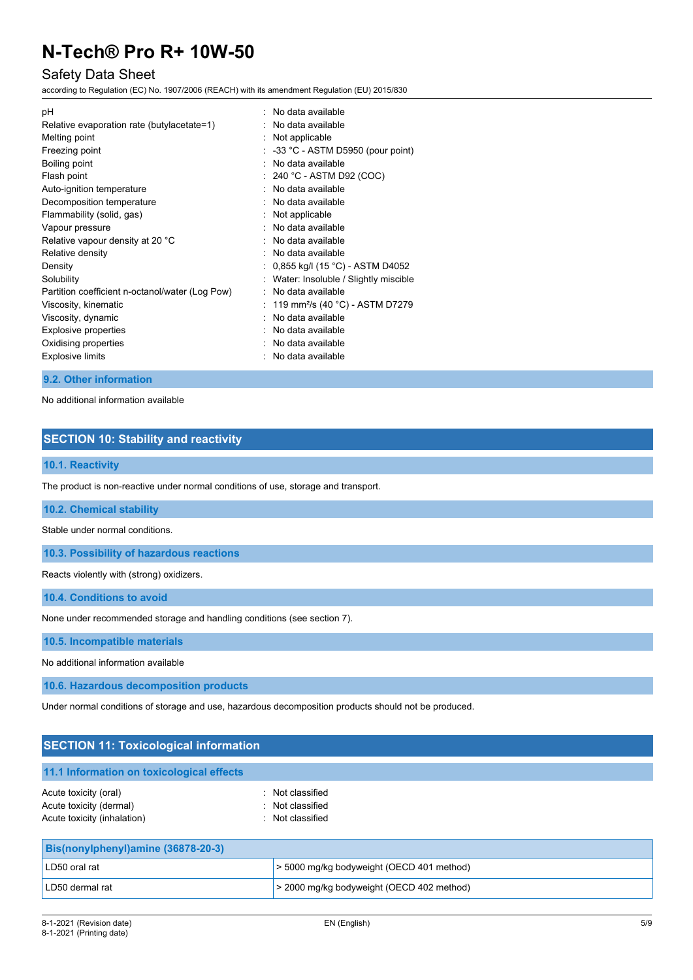### Safety Data Sheet

according to Regulation (EC) No. 1907/2006 (REACH) with its amendment Regulation (EU) 2015/830

| рH                                              | : No data available                           |
|-------------------------------------------------|-----------------------------------------------|
| Relative evaporation rate (butylacetate=1)      | No data available                             |
| Melting point                                   | : Not applicable                              |
| Freezing point                                  | $\therefore$ -33 °C - ASTM D5950 (pour point) |
| Boiling point                                   | No data available                             |
| Flash point                                     | $: 240 °C$ - ASTM D92 (COC)                   |
| Auto-ignition temperature                       | : No data available                           |
| Decomposition temperature                       | : No data available                           |
| Flammability (solid, gas)                       | Not applicable                                |
| Vapour pressure                                 | : No data available                           |
| Relative vapour density at 20 °C                | No data available                             |
| Relative density                                | No data available                             |
| Density                                         | 0,855 kg/l (15 °C) - ASTM D4052               |
| Solubility                                      | Water: Insoluble / Slightly miscible          |
| Partition coefficient n-octanol/water (Log Pow) | No data available                             |
| Viscosity, kinematic                            | 119 mm²/s (40 °C) - ASTM D7279                |
| Viscosity, dynamic                              | No data available                             |
| Explosive properties                            | No data available                             |
| Oxidising properties                            | No data available                             |
| <b>Explosive limits</b>                         | No data available                             |
|                                                 |                                               |

#### **9.2. Other information**

No additional information available

### **SECTION 10: Stability and reactivity**

#### **10.1. Reactivity**

The product is non-reactive under normal conditions of use, storage and transport.

**10.2. Chemical stability**

Stable under normal conditions.

**10.3. Possibility of hazardous reactions**

Reacts violently with (strong) oxidizers.

**10.4. Conditions to avoid**

None under recommended storage and handling conditions (see section 7).

**10.5. Incompatible materials**

No additional information available

**10.6. Hazardous decomposition products**

Under normal conditions of storage and use, hazardous decomposition products should not be produced.

LD50 dermal rat **business and all contract to the 2000 mg/kg bodyweight (OECD 402 method)** 

| <b>SECTION 11: Toxicological information</b>                                    |                                                          |  |
|---------------------------------------------------------------------------------|----------------------------------------------------------|--|
| 11.1 Information on toxicological effects                                       |                                                          |  |
| Acute toxicity (oral)<br>Acute toxicity (dermal)<br>Acute toxicity (inhalation) | : Not classified<br>: Not classified<br>: Not classified |  |
| Bis(nonylphenyl)amine (36878-20-3)                                              |                                                          |  |
| LD50 oral rat                                                                   | > 5000 mg/kg bodyweight (OECD 401 method)                |  |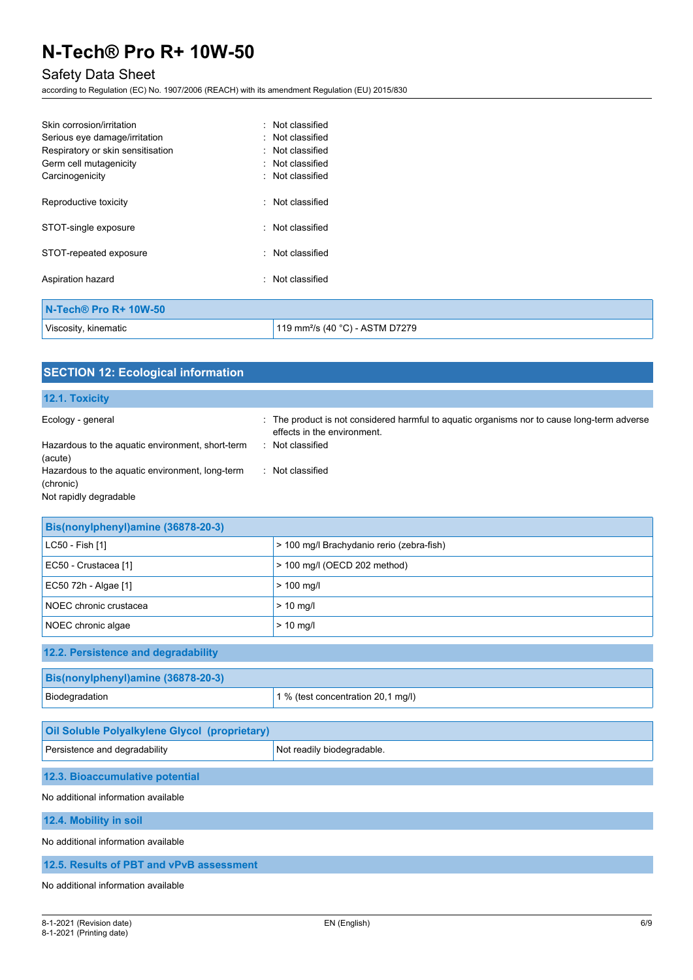# Safety Data Sheet

according to Regulation (EC) No. 1907/2006 (REACH) with its amendment Regulation (EU) 2015/830

| Skin corrosion/irritation         | : Not classified                            |
|-----------------------------------|---------------------------------------------|
| Serious eye damage/irritation     | : Not classified                            |
| Respiratory or skin sensitisation | : Not classified                            |
| Germ cell mutagenicity            | : Not classified                            |
| Carcinogenicity                   | : Not classified                            |
| Reproductive toxicity             | : Not classified                            |
| STOT-single exposure              | : Not classified                            |
| STOT-repeated exposure            | : Not classified                            |
| Aspiration hazard                 | : Not classified                            |
| N-Tech® Pro R+ 10W-50             |                                             |
| Viscosity, kinematic              | 119 mm <sup>2</sup> /s (40 °C) - ASTM D7279 |

| <b>SECTION 12: Ecological information</b>                             |                                                                                                                                                |
|-----------------------------------------------------------------------|------------------------------------------------------------------------------------------------------------------------------------------------|
| 12.1. Toxicity                                                        |                                                                                                                                                |
| Ecology - general<br>Hazardous to the aquatic environment, short-term | : The product is not considered harmful to aquatic organisms nor to cause long-term adverse<br>effects in the environment.<br>: Not classified |
| (acute)                                                               |                                                                                                                                                |
| Hazardous to the aquatic environment, long-term<br>(chronic)          | : Not classified                                                                                                                               |
| Not rapidly degradable                                                |                                                                                                                                                |
|                                                                       |                                                                                                                                                |
| Bis(nonylphenyl)amine (36878-20-3)                                    |                                                                                                                                                |
| LC50 - Fish [1]                                                       | > 100 mg/l Brachydanio rerio (zebra-fish)                                                                                                      |
| EC50 - Crustacea [1]                                                  | > 100 mg/l (OECD 202 method)                                                                                                                   |
| EC50 72h - Algae [1]                                                  | $> 100$ mg/l                                                                                                                                   |
| NOEC chronic crustacea                                                | $> 10$ mg/l                                                                                                                                    |
| NOEC chronic algae                                                    | $> 10$ mg/l                                                                                                                                    |
| 12.2. Persistence and degradability                                   |                                                                                                                                                |
| Bis(nonylphenyl)amine (36878-20-3)                                    |                                                                                                                                                |
| Biodegradation                                                        | 1 % (test concentration 20,1 mg/l)                                                                                                             |
| <b>Oil Soluble Polyalkylene Glycol (proprietary)</b>                  |                                                                                                                                                |
| Persistence and degradability                                         | Not readily biodegradable.                                                                                                                     |
| 12.3. Bioaccumulative potential                                       |                                                                                                                                                |
| No additional information available                                   |                                                                                                                                                |
| 12.4. Mobility in soil                                                |                                                                                                                                                |
| No additional information available                                   |                                                                                                                                                |
| 12.5. Results of PBT and vPvB assessment                              |                                                                                                                                                |
| No additional information available                                   |                                                                                                                                                |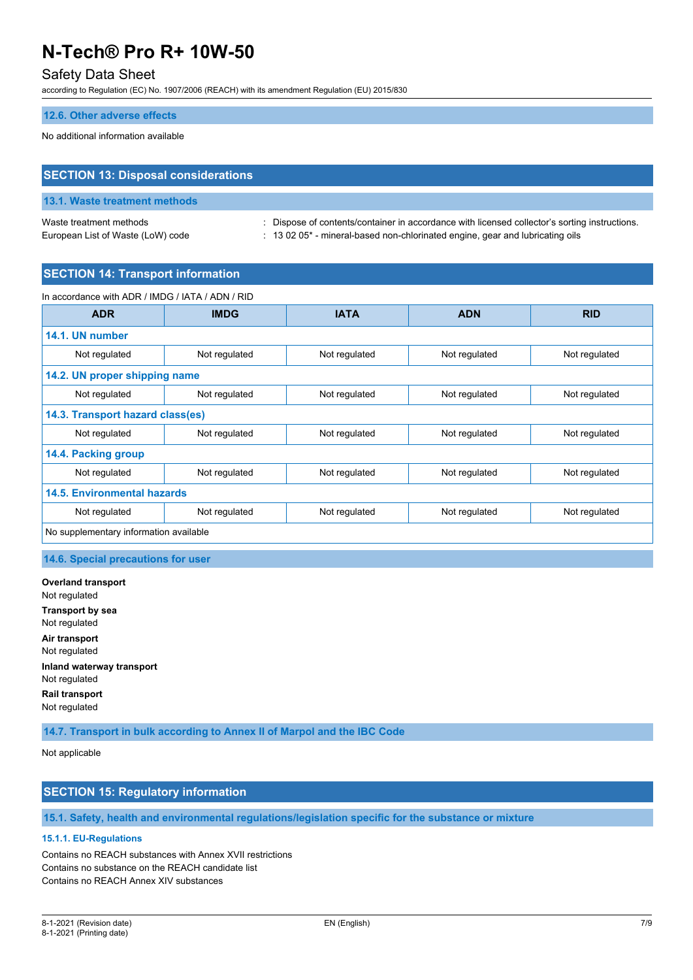### Safety Data Sheet

according to Regulation (EC) No. 1907/2006 (REACH) with its amendment Regulation (EU) 2015/830

#### **12.6. Other adverse effects**

No additional information available

## **SECTION 13: Disposal considerations**

# **13.1. Waste treatment methods**

Waste treatment methods : Dispose of contents/container in accordance with licensed collector's sorting instructions. European List of Waste (LoW) code : 13 02 05<sup>\*</sup> - mineral-based non-chlorinated engine, gear and lubricating oils

#### **SECTION 14: Transport information**

| In accordance with ADR / IMDG / IATA / ADN / RID |               |               |               |               |
|--------------------------------------------------|---------------|---------------|---------------|---------------|
| <b>ADR</b>                                       | <b>IMDG</b>   | <b>IATA</b>   | <b>ADN</b>    | <b>RID</b>    |
| 14.1. UN number                                  |               |               |               |               |
| Not regulated                                    | Not regulated | Not regulated | Not regulated | Not regulated |
| 14.2. UN proper shipping name                    |               |               |               |               |
| Not regulated                                    | Not regulated | Not regulated | Not regulated | Not regulated |
| 14.3. Transport hazard class(es)                 |               |               |               |               |
| Not regulated                                    | Not regulated | Not regulated | Not regulated | Not regulated |
| 14.4. Packing group                              |               |               |               |               |
| Not regulated                                    | Not regulated | Not regulated | Not regulated | Not regulated |
| <b>14.5. Environmental hazards</b>               |               |               |               |               |
| Not regulated                                    | Not regulated | Not regulated | Not regulated | Not regulated |
| No supplementary information available           |               |               |               |               |

#### **14.6. Special precautions for user**

**Overland transport** Not regulated **Transport by sea** Not regulated **Air transport** Not regulated **Inland waterway transport** Not regulated **Rail transport** Not regulated

**14.7. Transport in bulk according to Annex II of Marpol and the IBC Code**

Not applicable

#### **SECTION 15: Regulatory information**

#### **15.1. Safety, health and environmental regulations/legislation specific for the substance or mixture**

#### **15.1.1. EU-Regulations**

Contains no REACH substances with Annex XVII restrictions Contains no substance on the REACH candidate list Contains no REACH Annex XIV substances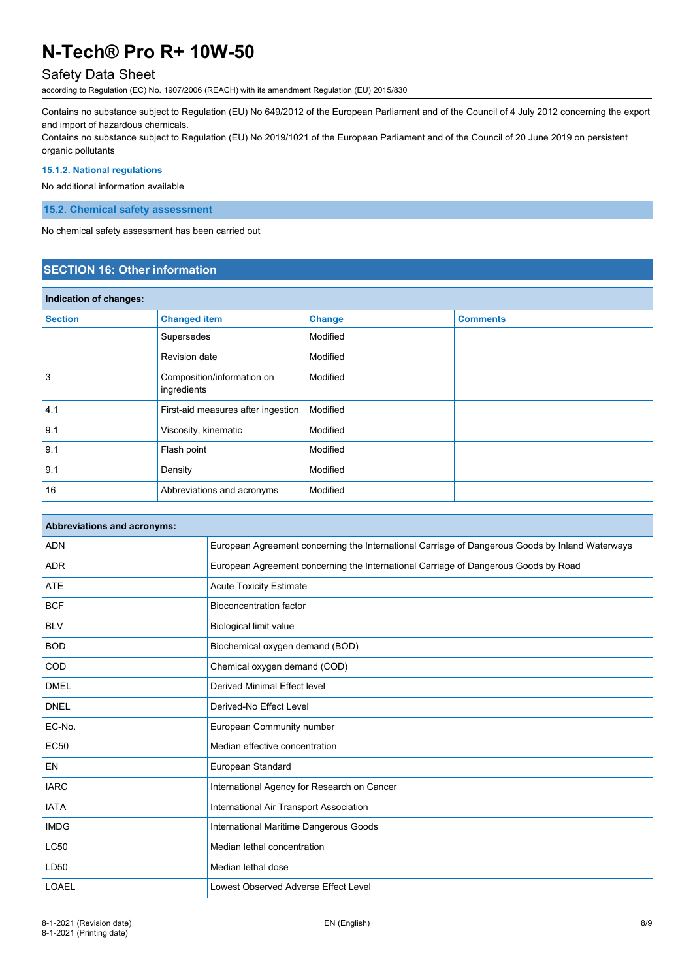### Safety Data Sheet

according to Regulation (EC) No. 1907/2006 (REACH) with its amendment Regulation (EU) 2015/830

Contains no substance subject to Regulation (EU) No 649/2012 of the European Parliament and of the Council of 4 July 2012 concerning the export and import of hazardous chemicals.

Contains no substance subject to Regulation (EU) No 2019/1021 of the European Parliament and of the Council of 20 June 2019 on persistent organic pollutants

#### **15.1.2. National regulations**

No additional information available

**15.2. Chemical safety assessment**

No chemical safety assessment has been carried out

#### **SECTION 16: Other information**

| Indication of changes: |                                           |               |                 |
|------------------------|-------------------------------------------|---------------|-----------------|
| <b>Section</b>         | <b>Changed item</b>                       | <b>Change</b> | <b>Comments</b> |
|                        | Supersedes                                | Modified      |                 |
|                        | Revision date                             | Modified      |                 |
| 3                      | Composition/information on<br>ingredients | Modified      |                 |
| 4.1                    | First-aid measures after ingestion        | Modified      |                 |
| 9.1                    | Viscosity, kinematic                      | Modified      |                 |
| 9.1                    | Flash point                               | Modified      |                 |
| 9.1                    | Density                                   | Modified      |                 |
| 16                     | Abbreviations and acronyms                | Modified      |                 |

| <b>Abbreviations and acronyms:</b> |                                                                                                 |
|------------------------------------|-------------------------------------------------------------------------------------------------|
| <b>ADN</b>                         | European Agreement concerning the International Carriage of Dangerous Goods by Inland Waterways |
| <b>ADR</b>                         | European Agreement concerning the International Carriage of Dangerous Goods by Road             |
| <b>ATE</b>                         | <b>Acute Toxicity Estimate</b>                                                                  |
| <b>BCF</b>                         | <b>Bioconcentration factor</b>                                                                  |
| <b>BLV</b>                         | <b>Biological limit value</b>                                                                   |
| <b>BOD</b>                         | Biochemical oxygen demand (BOD)                                                                 |
| COD                                | Chemical oxygen demand (COD)                                                                    |
| <b>DMEL</b>                        | Derived Minimal Effect level                                                                    |
| <b>DNEL</b>                        | Derived-No Effect Level                                                                         |
| EC-No.                             | European Community number                                                                       |
| <b>EC50</b>                        | Median effective concentration                                                                  |
| EN                                 | European Standard                                                                               |
| <b>IARC</b>                        | International Agency for Research on Cancer                                                     |
| <b>IATA</b>                        | International Air Transport Association                                                         |
| <b>IMDG</b>                        | International Maritime Dangerous Goods                                                          |
| <b>LC50</b>                        | Median lethal concentration                                                                     |
| LD50                               | Median lethal dose                                                                              |
| <b>LOAEL</b>                       | Lowest Observed Adverse Effect Level                                                            |